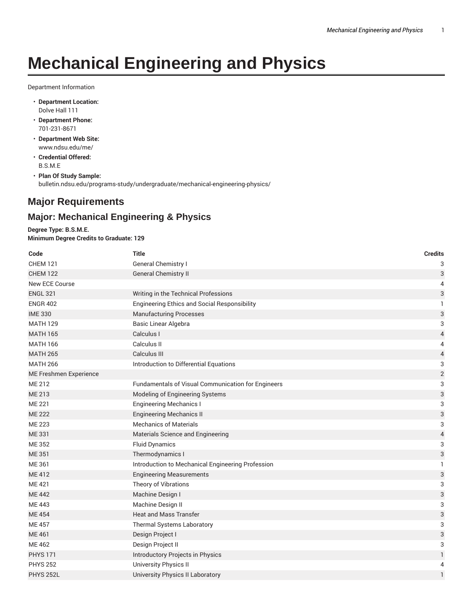## **Mechanical Engineering and Physics**

Department Information

- **Department Location:** Dolve Hall 111
- **Department Phone:** 701-231-8671
- **Department Web Site:** www.ndsu.edu/me/
- **Credential Offered:** B.S.M.E

• **Plan Of Study Sample:** bulletin.ndsu.edu/programs-study/undergraduate/mechanical-engineering-physics/

## **Major Requirements**

## **Major: Mechanical Engineering & Physics**

**Degree Type: B.S.M.E. Minimum Degree Credits to Graduate: 129**

| Code                   | <b>Title</b>                                        | <b>Credits</b>            |
|------------------------|-----------------------------------------------------|---------------------------|
| <b>CHEM 121</b>        | General Chemistry I                                 | 3                         |
| <b>CHEM 122</b>        | <b>General Chemistry II</b>                         | $\ensuremath{\mathsf{3}}$ |
| New ECE Course         |                                                     | 4                         |
| <b>ENGL 321</b>        | Writing in the Technical Professions                | 3                         |
| <b>ENGR 402</b>        | <b>Engineering Ethics and Social Responsibility</b> | 1                         |
| <b>IME 330</b>         | <b>Manufacturing Processes</b>                      | $\ensuremath{\mathsf{3}}$ |
| <b>MATH 129</b>        | <b>Basic Linear Algebra</b>                         | 3                         |
| <b>MATH 165</b>        | Calculus I                                          | $\overline{4}$            |
| <b>MATH 166</b>        | Calculus II                                         | $\overline{4}$            |
| <b>MATH 265</b>        | Calculus III                                        | $\sqrt{4}$                |
| <b>MATH 266</b>        | Introduction to Differential Equations              | 3                         |
| ME Freshmen Experience |                                                     | $\sqrt{2}$                |
| <b>ME 212</b>          | Fundamentals of Visual Communication for Engineers  | 3                         |
| ME 213                 | Modeling of Engineering Systems                     | $\ensuremath{\mathsf{3}}$ |
| <b>ME 221</b>          | <b>Engineering Mechanics I</b>                      | 3                         |
| <b>ME 222</b>          | <b>Engineering Mechanics II</b>                     | $\ensuremath{\mathsf{3}}$ |
| <b>ME 223</b>          | <b>Mechanics of Materials</b>                       | 3                         |
| ME 331                 | Materials Science and Engineering                   | $\overline{4}$            |
| ME 352                 | <b>Fluid Dynamics</b>                               | 3                         |
| <b>ME 351</b>          | Thermodynamics I                                    | 3                         |
| ME 361                 | Introduction to Mechanical Engineering Profession   | 1                         |
| ME 412                 | <b>Engineering Measurements</b>                     | 3                         |
| ME 421                 | Theory of Vibrations                                | 3                         |
| <b>ME 442</b>          | Machine Design I                                    | 3                         |
| <b>ME443</b>           | Machine Design II                                   | 3                         |
| <b>ME454</b>           | <b>Heat and Mass Transfer</b>                       | $\ensuremath{\mathsf{3}}$ |
| <b>ME457</b>           | Thermal Systems Laboratory                          | 3                         |
| ME 461                 | Design Project I                                    | $\ensuremath{\mathsf{3}}$ |
| <b>ME462</b>           | Design Project II                                   | 3                         |
| <b>PHYS 171</b>        | Introductory Projects in Physics                    | $\mathbf{1}$              |
| <b>PHYS 252</b>        | University Physics II                               | 4                         |
| <b>PHYS 252L</b>       | <b>University Physics II Laboratory</b>             | $\mathbf{1}$              |